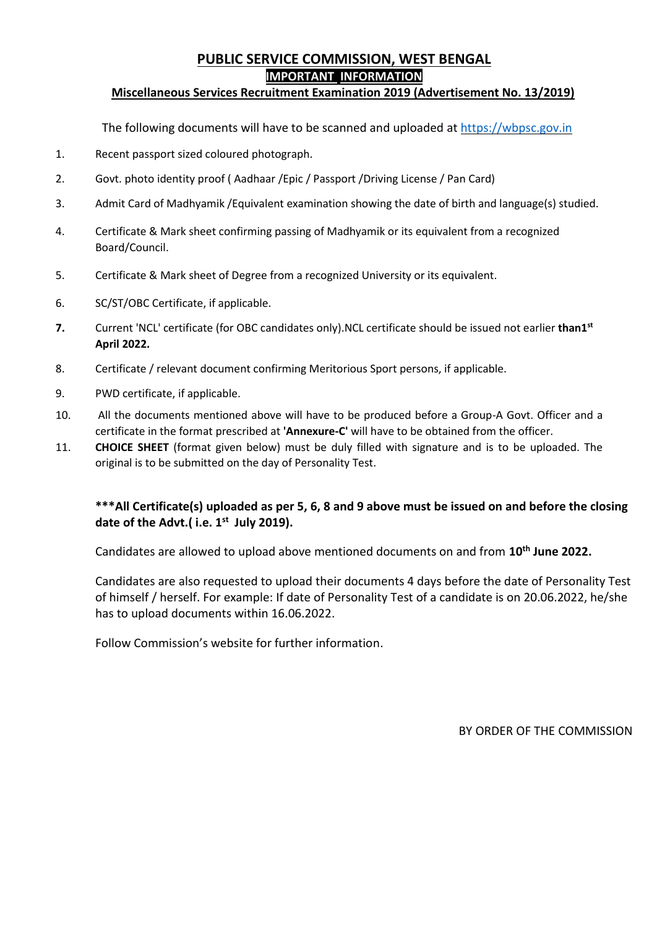## **PUBLIC SERVICE COMMISSION, WEST BENGAL IMPORTANT INFORMATION**

#### **Miscellaneous Services Recruitment Examination 2019 (Advertisement No. 13/2019)**

The following documents will have to be scanned and uploaded a[t https://wbpsc.gov.in](https://wbpsc.gov.in/)

- 1. Recent passport sized coloured photograph.
- 2. Govt. photo identity proof ( Aadhaar /Epic / Passport /Driving License / Pan Card)
- 3. Admit Card of Madhyamik /Equivalent examination showing the date of birth and language(s) studied.
- 4. Certificate & Mark sheet confirming passing of Madhyamik or its equivalent from a recognized Board/Council.
- 5. Certificate & Mark sheet of Degree from a recognized University or its equivalent.
- 6. SC/ST/OBC Certificate, if applicable.
- **7.** Current 'NCL' certificate (for OBC candidates only).NCL certificate should be issued not earlier **than1st April 2022.**
- 8. Certificate / relevant document confirming Meritorious Sport persons, if applicable.
- 9. PWD certificate, if applicable.
- 10. All the documents mentioned above will have to be produced before a Group-A Govt. Officer and a certificate in the format prescribed at **'Annexure-C'** will have to be obtained from the officer.
- 11. **CHOICE SHEET** (format given below) must be duly filled with signature and is to be uploaded. The original is to be submitted on the day of Personality Test.

### **\*\*\*All Certificate(s) uploaded as per 5, 6, 8 and 9 above must be issued on and before the closing date of the Advt.( i.e. 1 st July 2019).**

Candidates are allowed to upload above mentioned documents on and from **10th June 2022.**

Candidates are also requested to upload their documents 4 days before the date of Personality Test of himself / herself. For example: If date of Personality Test of a candidate is on 20.06.2022, he/she has to upload documents within 16.06.2022.

Follow Commission's website for further information.

BY ORDER OF THE COMMISSION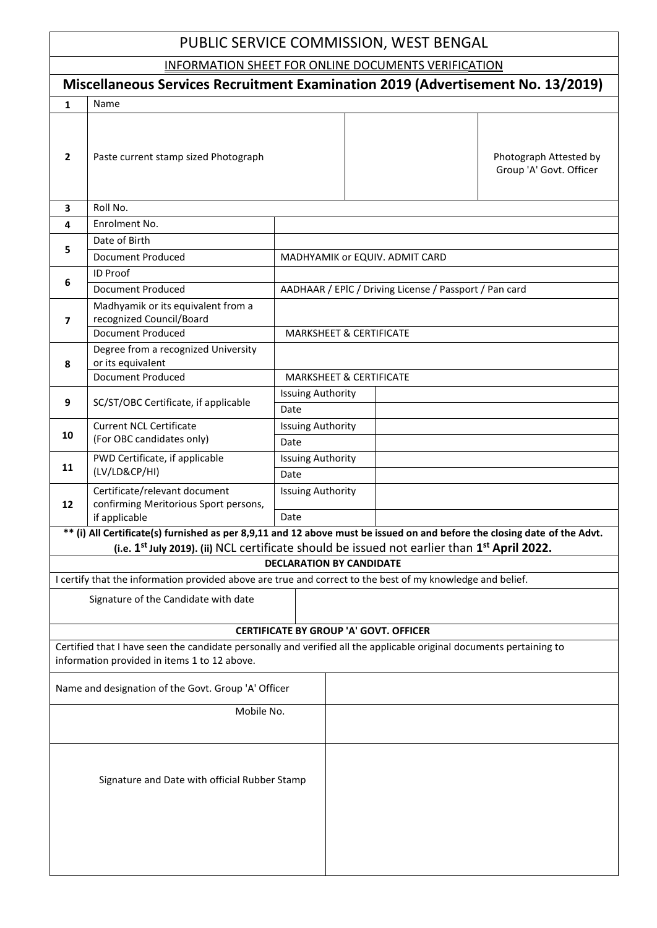# PUBLIC SERVICE COMMISSION, WEST BENGAL

INFORMATION SHEET FOR ONLINE DOCUMENTS VERIFICATION

| <u> UNEINE BUCUMENTU</u><br>Miscellaneous Services Recruitment Examination 2019 (Advertisement No. 13/2019)                                                          |                                                                                                                                                                                                                                                   |                                               |                                                        |  |                                                   |  |  |  |
|----------------------------------------------------------------------------------------------------------------------------------------------------------------------|---------------------------------------------------------------------------------------------------------------------------------------------------------------------------------------------------------------------------------------------------|-----------------------------------------------|--------------------------------------------------------|--|---------------------------------------------------|--|--|--|
| 1                                                                                                                                                                    | Name                                                                                                                                                                                                                                              |                                               |                                                        |  |                                                   |  |  |  |
| $\overline{2}$                                                                                                                                                       | Paste current stamp sized Photograph                                                                                                                                                                                                              |                                               |                                                        |  | Photograph Attested by<br>Group 'A' Govt. Officer |  |  |  |
| 3                                                                                                                                                                    | Roll No.                                                                                                                                                                                                                                          |                                               |                                                        |  |                                                   |  |  |  |
| 4                                                                                                                                                                    | Enrolment No.                                                                                                                                                                                                                                     |                                               |                                                        |  |                                                   |  |  |  |
|                                                                                                                                                                      | Date of Birth                                                                                                                                                                                                                                     |                                               |                                                        |  |                                                   |  |  |  |
| 5                                                                                                                                                                    | Document Produced                                                                                                                                                                                                                                 | MADHYAMIK or EQUIV. ADMIT CARD                |                                                        |  |                                                   |  |  |  |
|                                                                                                                                                                      | ID Proof                                                                                                                                                                                                                                          |                                               |                                                        |  |                                                   |  |  |  |
| 6                                                                                                                                                                    | Document Produced                                                                                                                                                                                                                                 |                                               | AADHAAR / EPIC / Driving License / Passport / Pan card |  |                                                   |  |  |  |
| 7                                                                                                                                                                    | Madhyamik or its equivalent from a<br>recognized Council/Board<br><b>Document Produced</b>                                                                                                                                                        | <b>MARKSHEET &amp; CERTIFICATE</b>            |                                                        |  |                                                   |  |  |  |
|                                                                                                                                                                      | Degree from a recognized University                                                                                                                                                                                                               |                                               |                                                        |  |                                                   |  |  |  |
| 8                                                                                                                                                                    | or its equivalent                                                                                                                                                                                                                                 |                                               |                                                        |  |                                                   |  |  |  |
|                                                                                                                                                                      | <b>Document Produced</b>                                                                                                                                                                                                                          |                                               | <b>MARKSHEET &amp; CERTIFICATE</b>                     |  |                                                   |  |  |  |
| 9                                                                                                                                                                    | SC/ST/OBC Certificate, if applicable                                                                                                                                                                                                              | <b>Issuing Authority</b>                      |                                                        |  |                                                   |  |  |  |
|                                                                                                                                                                      |                                                                                                                                                                                                                                                   | Date                                          |                                                        |  |                                                   |  |  |  |
|                                                                                                                                                                      | <b>Current NCL Certificate</b>                                                                                                                                                                                                                    | <b>Issuing Authority</b>                      |                                                        |  |                                                   |  |  |  |
| 10                                                                                                                                                                   | (For OBC candidates only)                                                                                                                                                                                                                         | Date                                          |                                                        |  |                                                   |  |  |  |
| 11                                                                                                                                                                   | PWD Certificate, if applicable                                                                                                                                                                                                                    | <b>Issuing Authority</b>                      |                                                        |  |                                                   |  |  |  |
|                                                                                                                                                                      | (LV/LD&CP/HI)                                                                                                                                                                                                                                     | Date                                          |                                                        |  |                                                   |  |  |  |
|                                                                                                                                                                      | Certificate/relevant document                                                                                                                                                                                                                     | <b>Issuing Authority</b>                      |                                                        |  |                                                   |  |  |  |
| $12 \overline{ }$                                                                                                                                                    | confirming Meritorious Sport persons,                                                                                                                                                                                                             |                                               |                                                        |  |                                                   |  |  |  |
|                                                                                                                                                                      | if applicable                                                                                                                                                                                                                                     | Date                                          |                                                        |  |                                                   |  |  |  |
|                                                                                                                                                                      | ** (i) All Certificate(s) furnished as per 8,9,11 and 12 above must be issued on and before the closing date of the Advt.<br>(i.e. 1 <sup>st</sup> July 2019). (ii) NCL certificate should be issued not earlier than 1 <sup>st</sup> April 2022. |                                               |                                                        |  |                                                   |  |  |  |
|                                                                                                                                                                      |                                                                                                                                                                                                                                                   | <b>DECLARATION BY CANDIDATE</b>               |                                                        |  |                                                   |  |  |  |
|                                                                                                                                                                      |                                                                                                                                                                                                                                                   |                                               |                                                        |  |                                                   |  |  |  |
| I certify that the information provided above are true and correct to the best of my knowledge and belief.                                                           |                                                                                                                                                                                                                                                   |                                               |                                                        |  |                                                   |  |  |  |
| Signature of the Candidate with date                                                                                                                                 |                                                                                                                                                                                                                                                   |                                               |                                                        |  |                                                   |  |  |  |
|                                                                                                                                                                      |                                                                                                                                                                                                                                                   | <b>CERTIFICATE BY GROUP 'A' GOVT. OFFICER</b> |                                                        |  |                                                   |  |  |  |
| Certified that I have seen the candidate personally and verified all the applicable original documents pertaining to<br>information provided in items 1 to 12 above. |                                                                                                                                                                                                                                                   |                                               |                                                        |  |                                                   |  |  |  |
| Name and designation of the Govt. Group 'A' Officer                                                                                                                  |                                                                                                                                                                                                                                                   |                                               |                                                        |  |                                                   |  |  |  |
| Mobile No.                                                                                                                                                           |                                                                                                                                                                                                                                                   |                                               |                                                        |  |                                                   |  |  |  |
|                                                                                                                                                                      | Signature and Date with official Rubber Stamp                                                                                                                                                                                                     |                                               |                                                        |  |                                                   |  |  |  |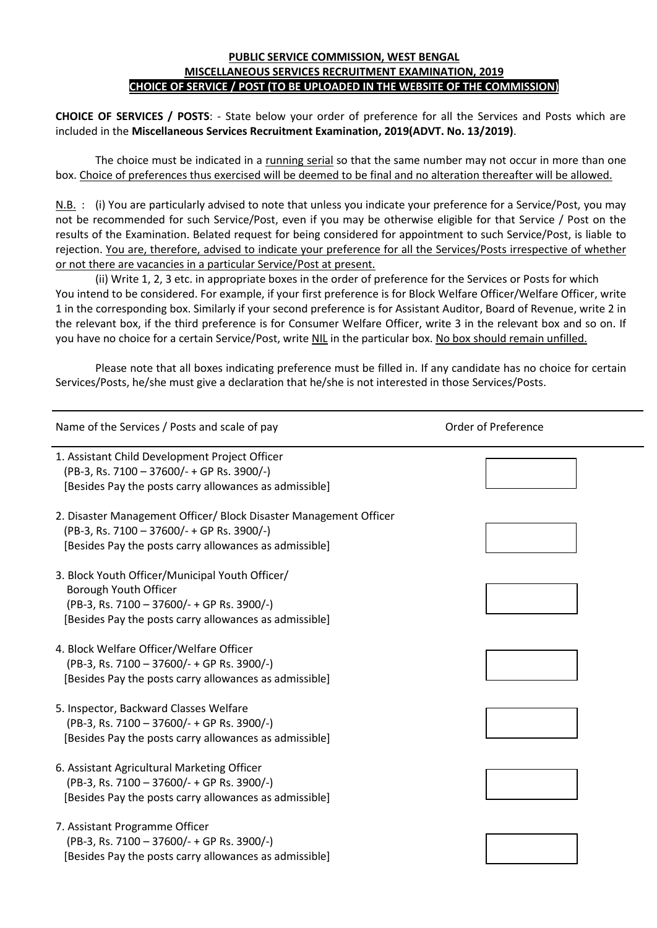#### **PUBLIC SERVICE COMMISSION, WEST BENGAL MISCELLANEOUS SERVICES RECRUITMENT EXAMINATION, 2019 CHOICE OF SERVICE / POST (TO BE UPLOADED IN THE WEBSITE OF THE COMMISSION)**

**CHOICE OF SERVICES / POSTS**: - State below your order of preference for all the Services and Posts which are included in the **Miscellaneous Services Recruitment Examination, 2019(ADVT. No. 13/2019)**.

The choice must be indicated in a running serial so that the same number may not occur in more than one box. Choice of preferences thus exercised will be deemed to be final and no alteration thereafter will be allowed.

N.B. : (i) You are particularly advised to note that unless you indicate your preference for a Service/Post, you may not be recommended for such Service/Post, even if you may be otherwise eligible for that Service / Post on the results of the Examination. Belated request for being considered for appointment to such Service/Post, is liable to rejection. You are, therefore, advised to indicate your preference for all the Services/Posts irrespective of whether or not there are vacancies in a particular Service/Post at present.

(ii) Write 1, 2, 3 etc. in appropriate boxes in the order of preference for the Services or Posts for which You intend to be considered. For example, if your first preference is for Block Welfare Officer/Welfare Officer, write 1 in the corresponding box. Similarly if your second preference is for Assistant Auditor, Board of Revenue, write 2 in the relevant box, if the third preference is for Consumer Welfare Officer, write 3 in the relevant box and so on. If you have no choice for a certain Service/Post, write NIL in the particular box. No box should remain unfilled.

Please note that all boxes indicating preference must be filled in. If any candidate has no choice for certain Services/Posts, he/she must give a declaration that he/she is not interested in those Services/Posts.

| Name of the Services / Posts and scale of pay                                                                                                                                    | Order of Preference |
|----------------------------------------------------------------------------------------------------------------------------------------------------------------------------------|---------------------|
| 1. Assistant Child Development Project Officer<br>(PB-3, Rs. 7100 - 37600/- + GP Rs. 3900/-)<br>[Besides Pay the posts carry allowances as admissible]                           |                     |
| 2. Disaster Management Officer/ Block Disaster Management Officer<br>(PB-3, Rs. 7100 - 37600/- + GP Rs. 3900/-)<br>[Besides Pay the posts carry allowances as admissible]        |                     |
| 3. Block Youth Officer/Municipal Youth Officer/<br>Borough Youth Officer<br>(PB-3, Rs. 7100 - 37600/- + GP Rs. 3900/-)<br>[Besides Pay the posts carry allowances as admissible] |                     |
| 4. Block Welfare Officer/Welfare Officer<br>(PB-3, Rs. 7100 - 37600/- + GP Rs. 3900/-)<br>[Besides Pay the posts carry allowances as admissible]                                 |                     |
| 5. Inspector, Backward Classes Welfare<br>(PB-3, Rs. 7100 - 37600/- + GP Rs. 3900/-)<br>[Besides Pay the posts carry allowances as admissible]                                   |                     |
| 6. Assistant Agricultural Marketing Officer<br>(PB-3, Rs. 7100 - 37600/- + GP Rs. 3900/-)<br>[Besides Pay the posts carry allowances as admissible]                              |                     |
| 7. Assistant Programme Officer<br>(PB-3, Rs. 7100 - 37600/- + GP Rs. 3900/-)<br>[Besides Pay the posts carry allowances as admissible]                                           |                     |